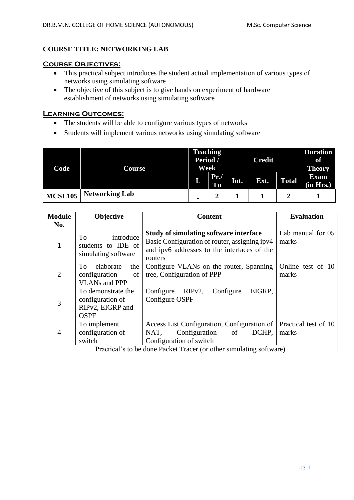### **COURSE TITLE: NETWORKING LAB**

#### **Course Objectives:**

- This practical subject introduces the student actual implementation of various types of networks using simulating software
- The objective of this subject is to give hands on experiment of hardware establishment of networks using simulating software

### **Learning Outcomes:**

- The students will be able to configure various types of networks
- Students will implement various networks using simulating software

| Code           | Course                | <b>Teaching</b><br>Period /<br>Week |                | <b>Credit</b> |      |              | <b>Duration</b><br>of<br><b>Theory</b> |
|----------------|-----------------------|-------------------------------------|----------------|---------------|------|--------------|----------------------------------------|
|                |                       | L                                   | Pr.<br>Tu      | Int.          | Ext. | <b>Total</b> | <b>Exam</b><br>(in Hrs.)               |
| <b>MCSL105</b> | <b>Networking Lab</b> | $\blacksquare$                      | $\overline{2}$ |               |      |              |                                        |

| <b>Module</b>  | Objective                                                                 | <b>Content</b>                                                                                                                                           | <b>Evaluation</b>             |  |  |  |  |
|----------------|---------------------------------------------------------------------------|----------------------------------------------------------------------------------------------------------------------------------------------------------|-------------------------------|--|--|--|--|
| No.            |                                                                           |                                                                                                                                                          |                               |  |  |  |  |
| 1              | introduce<br>To<br>students to IDE of<br>simulating software              | <b>Study of simulating software interface</b><br>Basic Configuration of router, assigning ipv4<br>and ipv6 addresses to the interfaces of the<br>routers | Lab manual for 05<br>marks    |  |  |  |  |
| $\overline{2}$ | elaborate<br>To<br>the<br>of<br>configuration<br><b>VLANs and PPP</b>     | Configure VLANs on the router, Spanning<br>tree, Configuration of PPP                                                                                    | Online test of 10<br>marks    |  |  |  |  |
| 3              | To demonstrate the<br>configuration of<br>RIPv2, EIGRP and<br><b>OSPF</b> | $RIPv2$ ,<br>Configure<br>EIGRP,<br>Configure<br>Configure OSPF                                                                                          |                               |  |  |  |  |
| 4              | To implement<br>configuration of<br>switch                                | Access List Configuration, Configuration of<br>DCHP,<br>NAT,<br>Configuration<br>of<br>Configuration of switch                                           | Practical test of 10<br>marks |  |  |  |  |
|                | Practical's to be done Packet Tracer (or other simulating software)       |                                                                                                                                                          |                               |  |  |  |  |